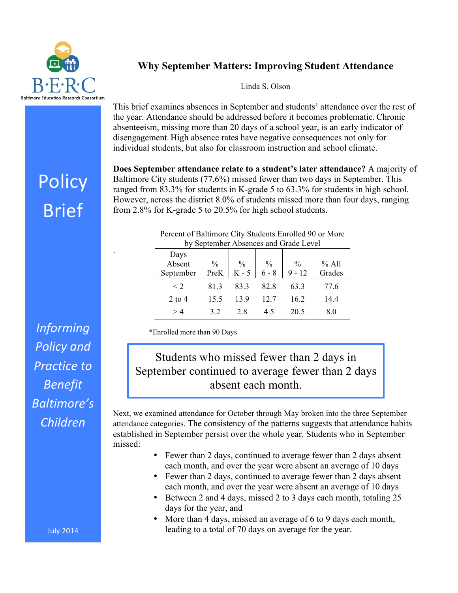

## **Why September Matters: Improving Student Attendance**

Linda S. Olson

This brief examines absences in September and students' attendance over the rest of the year. Attendance should be addressed before it becomes problematic.Chronic absenteeism, missing more than 20 days of a school year, is an early indicator of disengagement. High absence rates have negative consequences not only for individual students, but also for classroom instruction and school climate.

**Does September attendance relate to a student's later attendance?** A majority of Baltimore City students (77.6%) missed fewer than two days in September. This ranged from 83.3% for students in K-grade 5 to 63.3% for students in high school. However, across the district 8.0% of students missed more than four days, ranging from 2.8% for K-grade 5 to 20.5% for high school students.

| by September Absences and Grade Level |               |               |               |               |         |
|---------------------------------------|---------------|---------------|---------------|---------------|---------|
| Days                                  |               |               |               |               |         |
| Absent                                | $\frac{0}{0}$ | $\frac{0}{0}$ | $\frac{0}{0}$ | $\frac{0}{0}$ | $%$ All |
| September                             | PreK          | K - 5         | $6 - 8$       | $9 - 12$      | Grades  |
| $\leq$ 2                              | 813           | 83.3          | 82.8          | 63.3          | 77.6    |
| $2$ to 4                              | 15.5          | 139           | 12.7          | 16.2          | 14.4    |
| >4                                    | 32            | 28            | 45            | 20.5          | 8.0     |

Percent of Baltimore City Students Enrolled 90 or More

\*Enrolled more than 90 Days

## Students who missed fewer than 2 days in September continued to average fewer than 2 days absent each month.

Next, we examined attendance for October through May broken into the three September attendance categories. The consistency of the patterns suggests that attendance habits established in September persist over the whole year. Students who in September missed:

- Fewer than 2 days, continued to average fewer than 2 days absent each month, and over the year were absent an average of 10 days
- Fewer than 2 days, continued to average fewer than 2 days absent each month, and over the year were absent an average of 10 days
- Between 2 and 4 days, missed 2 to 3 days each month, totaling 25 days for the year, and
- More than 4 days, missed an average of 6 to 9 days each month, leading to a total of 70 days on average for the year.

**Policy** Brief

.

*Informing*  **Policy** and **Practice** to *Benefit Baltimore's Children*

July 2014